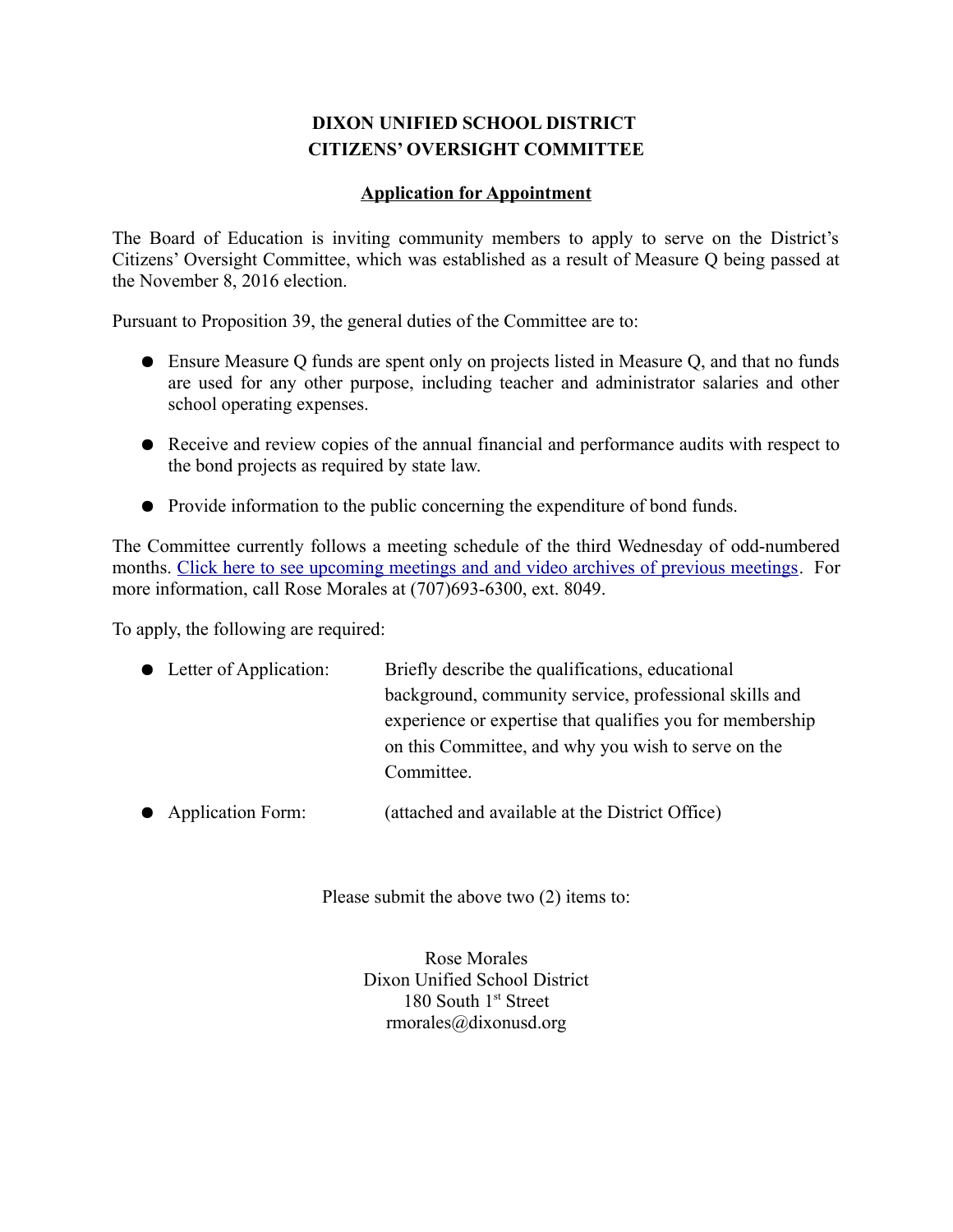# **DIXON UNIFIED SCHOOL DISTRICT CITIZENS' OVERSIGHT COMMITTEE**

#### **Application for Appointment**

The Board of Education is inviting community members to apply to serve on the District's Citizens' Oversight Committee, which was established as a result of Measure Q being passed at the November 8, 2016 election.

Pursuant to Proposition 39, the general duties of the Committee are to:

- Ensure Measure Q funds are spent only on projects listed in Measure Q, and that no funds are used for any other purpose, including teacher and administrator salaries and other school operating expenses.
- Receive and review copies of the annual financial and performance audits with respect to the bond projects as required by state law.
- Provide information to the public concerning the expenditure of bond funds.

The Committee currently follows a meeting schedule of the third Wednesday of odd-numbered months. [Click here to see upcoming meetings and and video archives of previous meetings.](http://dixon-ca.granicus.com/ViewPublisher.php?view_id=3) For more information, call Rose Morales at (707)693-6300, ext. 8049.

To apply, the following are required:

| • Letter of Application: | Briefly describe the qualifications, educational          |  |
|--------------------------|-----------------------------------------------------------|--|
|                          | background, community service, professional skills and    |  |
|                          | experience or expertise that qualifies you for membership |  |
|                          | on this Committee, and why you wish to serve on the       |  |
|                          | Committee.                                                |  |

● Application Form: (attached and available at the District Office)

Please submit the above two (2) items to:

Rose Morales Dixon Unified School District 180 South 1st Street rmorales@dixonusd.org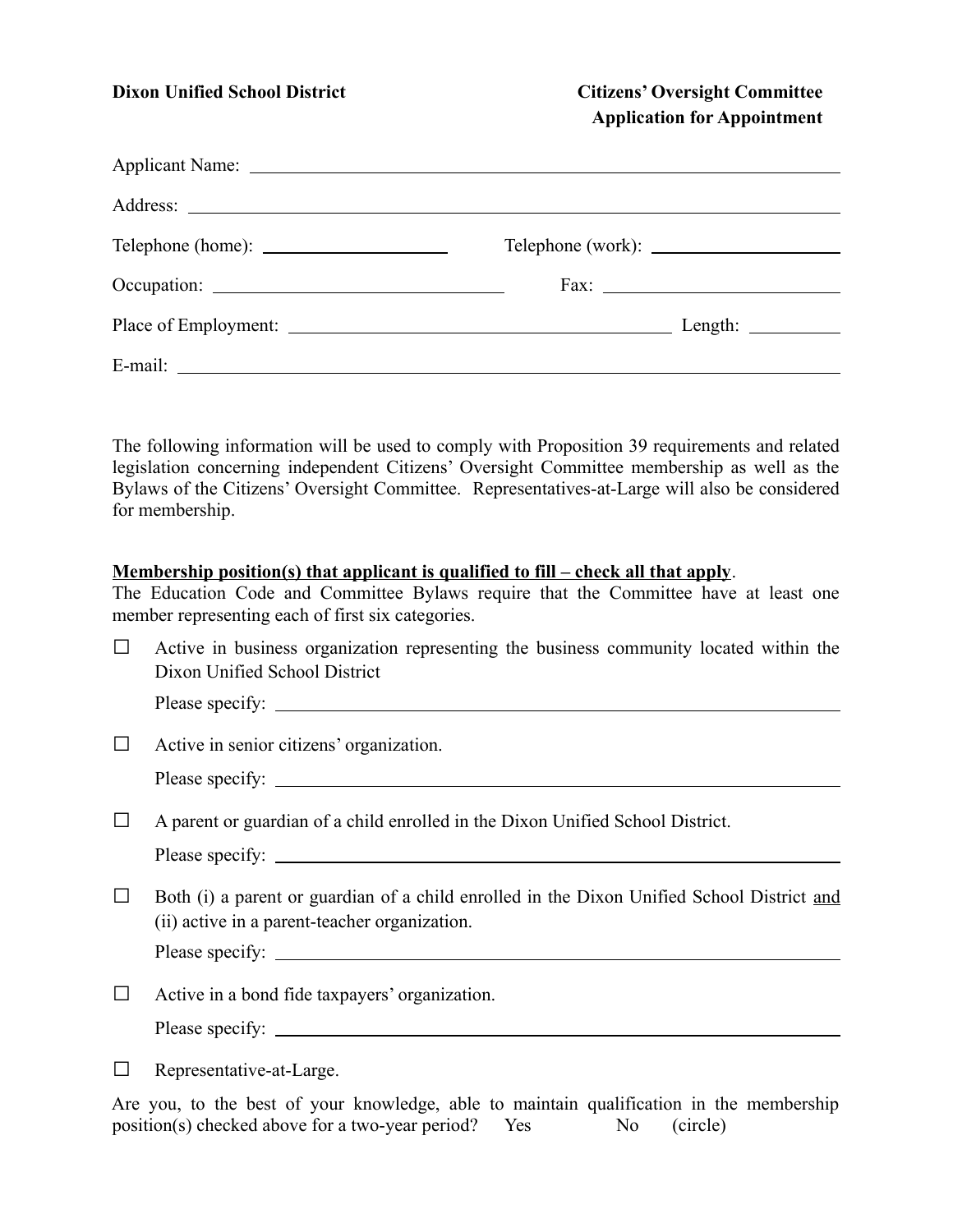## **Dixon Unified School District Citizens' Oversight Committee Application for Appointment**

The following information will be used to comply with Proposition 39 requirements and related legislation concerning independent Citizens' Oversight Committee membership as well as the Bylaws of the Citizens' Oversight Committee. Representatives-at-Large will also be considered for membership.

#### **Membership position(s) that applicant is qualified to fill – check all that apply**.

The Education Code and Committee Bylaws require that the Committee have at least one member representing each of first six categories.

 $\Box$  Active in business organization representing the business community located within the Dixon Unified School District

Please specify:

 $\Box$  Active in senior citizens' organization.

|  | Please specify: |  |
|--|-----------------|--|
|--|-----------------|--|

 $\Box$  A parent or guardian of a child enrolled in the Dixon Unified School District.

Please specify:

 $\Box$  Both (i) a parent or guardian of a child enrolled in the Dixon Unified School District and (ii) active in a parent-teacher organization.

Please specify:

- $\Box$  Active in a bond fide taxpayers' organization. Please specify:
- □ Representative-at-Large.

Are you, to the best of your knowledge, able to maintain qualification in the membership position(s) checked above for a two-year period? Yes  $N_0$  (circle)